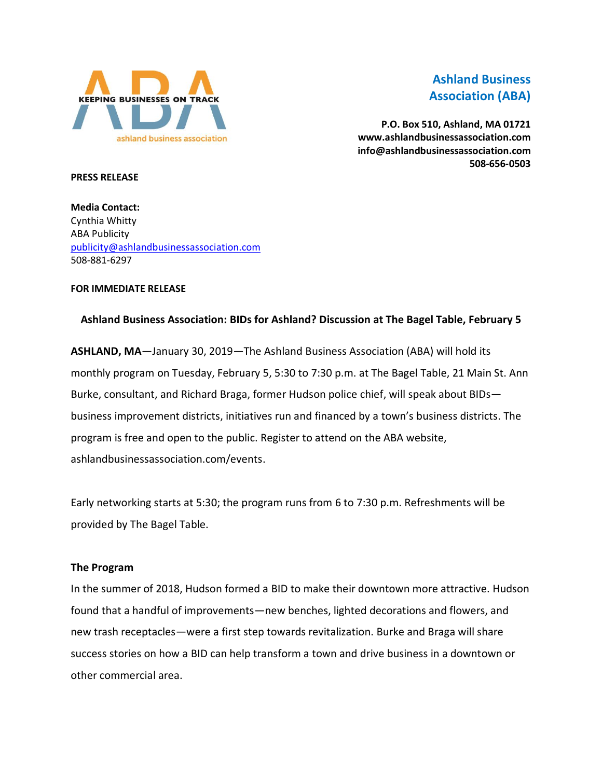

# **Ashland Business Association (ABA)**

**P.O. Box 510, Ashland, MA 01721 www.ashlandbusinessassociation.com info@ashlandbusinessassociation.com 508-656-0503**

#### **PRESS RELEASE**

**Media Contact:** Cynthia Whitty ABA Publicity [publicity@ashlandbusinessassociation.com](mailto:publicity@ashlandbusinessassociation.com) 508-881-6297

#### **FOR IMMEDIATE RELEASE**

## **Ashland Business Association: BIDs for Ashland? Discussion at The Bagel Table, February 5**

**ASHLAND, MA**—January 30, 2019—The Ashland Business Association (ABA) will hold its monthly program on Tuesday, February 5, 5:30 to 7:30 p.m. at The Bagel Table, 21 Main St. Ann Burke, consultant, and Richard Braga, former Hudson police chief, will speak about BIDs business improvement districts, initiatives run and financed by a town's business districts. The program is free and open to the public. Register to attend on the ABA website, ashlandbusinessassociation.com/events.

Early networking starts at 5:30; the program runs from 6 to 7:30 p.m. Refreshments will be provided by The Bagel Table.

#### **The Program**

In the summer of 2018, Hudson formed a BID to make their downtown more attractive. Hudson found that a handful of improvements—new benches, lighted decorations and flowers, and new trash receptacles—were a first step towards revitalization. Burke and Braga will share success stories on how a BID can help transform a town and drive business in a downtown or other commercial area.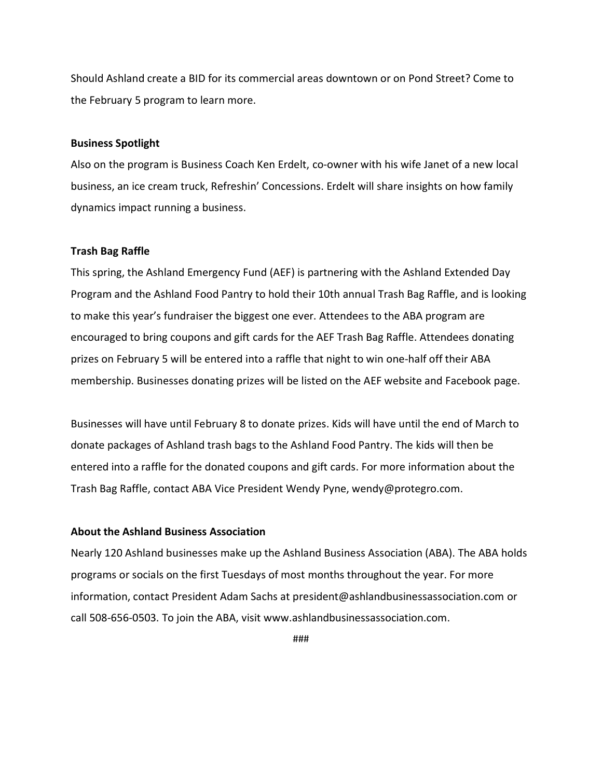Should Ashland create a BID for its commercial areas downtown or on Pond Street? Come to the February 5 program to learn more.

#### **Business Spotlight**

Also on the program is Business Coach Ken Erdelt, co-owner with his wife Janet of a new local business, an ice cream truck, Refreshin' Concessions. Erdelt will share insights on how family dynamics impact running a business.

### **Trash Bag Raffle**

This spring, the Ashland Emergency Fund (AEF) is partnering with the Ashland Extended Day Program and the Ashland Food Pantry to hold their 10th annual Trash Bag Raffle, and is looking to make this year's fundraiser the biggest one ever. Attendees to the ABA program are encouraged to bring coupons and gift cards for the AEF Trash Bag Raffle. Attendees donating prizes on February 5 will be entered into a raffle that night to win one-half off their ABA membership. Businesses donating prizes will be listed on the AEF website and Facebook page.

Businesses will have until February 8 to donate prizes. Kids will have until the end of March to donate packages of Ashland trash bags to the Ashland Food Pantry. The kids will then be entered into a raffle for the donated coupons and gift cards. For more information about the Trash Bag Raffle, contact ABA Vice President Wendy Pyne, wendy@protegro.com.

#### **About the Ashland Business Association**

Nearly 120 Ashland businesses make up the Ashland Business Association (ABA). The ABA holds programs or socials on the first Tuesdays of most months throughout the year. For more information, contact President Adam Sachs at president@ashlandbusinessassociation.com or call 508-656-0503. To join the ABA, visit www.ashlandbusinessassociation.com.